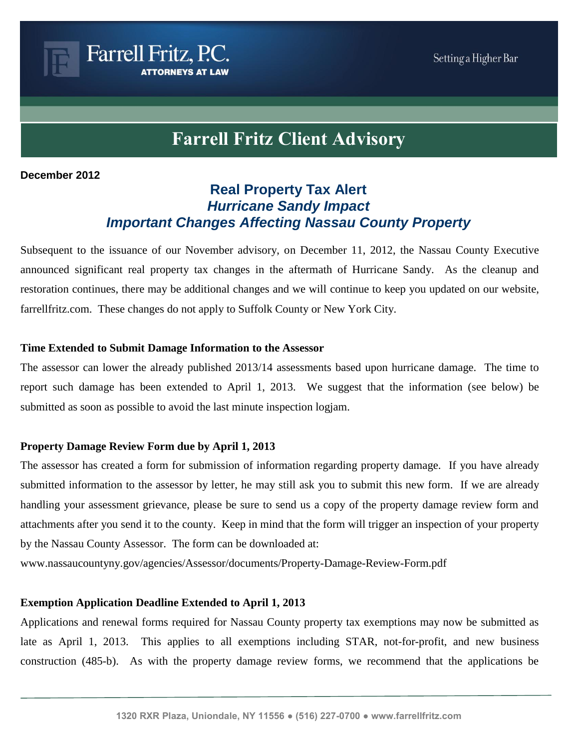# **Farrell Fritz Client Advisory**

### **December 2012**

## **Real Property Tax Alert** *Hurricane Sandy Impact Important Changes Affecting Nassau County Property*

Subsequent to the issuance of our November advisory, on December 11, 2012, the Nassau County Executive announced significant real property tax changes in the aftermath of Hurricane Sandy. As the cleanup and restoration continues, there may be additional changes and we will continue to keep you updated on our website, farrellfritz.com. These changes do not apply to Suffolk County or New York City.

### **Time Extended to Submit Damage Information to the Assessor**

Farrell Fritz, P.C.

The assessor can lower the already published 2013/14 assessments based upon hurricane damage. The time to report such damage has been extended to April 1, 2013. We suggest that the information (see below) be submitted as soon as possible to avoid the last minute inspection logjam.

## **Property Damage Review Form due by April 1, 2013**

The assessor has created a form for submission of information regarding property damage. If you have already submitted information to the assessor by letter, he may still ask you to submit this new form. If we are already handling your assessment grievance, please be sure to send us a copy of the property damage review form and attachments after you send it to the county. Keep in mind that the form will trigger an inspection of your property by the Nassau County Assessor. The form can be downloaded at:

www.nassaucountyny.gov/agencies/Assessor/documents/Property-Damage-Review-Form.pdf

## **Exemption Application Deadline Extended to April 1, 2013**

Applications and renewal forms required for Nassau County property tax exemptions may now be submitted as late as April 1, 2013. This applies to all exemptions including STAR, not-for-profit, and new business construction (485-b). As with the property damage review forms, we recommend that the applications be